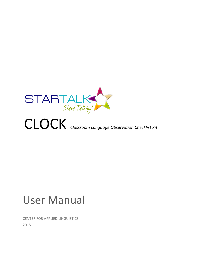

# CLOCK *Classroom Language Observation Checklist Kit*

# User Manual

CENTER FOR APPLIED LINGUISTICS 2015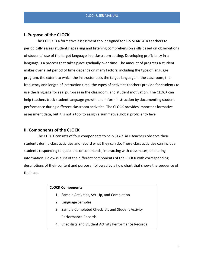### **I. Purpose of the CLOCK**

The CLOCK is a formative assessment tool designed for K-5 STARTALK teachers to periodically assess students' speaking and listening comprehension skills based on observations of students' use of the target language in a classroom setting. Developing proficiency in a language is a process that takes place gradually over time. The amount of progress a student makes over a set period of time depends on many factors, including the type of language program, the extent to which the instructor uses the target language in the classroom, the frequency and length of instruction time, the types of activities teachers provide for students to use the language for real purposes in the classroom, and student motivation. The CLOCK can help teachers track student language growth and inform instruction by documenting student performance during different classroom activities. The CLOCK provides important formative assessment data, but it is not a tool to assign a summative global proficiency level.

#### **II. Components of the CLOCK**

The CLOCK consists of four components to help STARTALK teachers observe their students during class activities and record what they can do. These class activities can include students responding to questions or commands, interacting with classmates, or sharing information. Below is a list of the different components of the CLOCK with corresponding descriptions of their content and purpose, followed by a flow chart that shows the sequence of their use.

#### **CLOCK Components**

- 1. Sample Activities, Set-Up, and Completion
- 2. Language Samples
- 3. Sample Completed Checklists and Student Activity Performance Records
- 4. Checklists and Student Activity Performance Records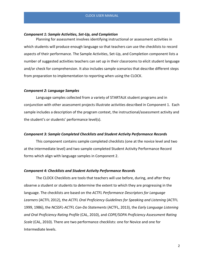#### *Component 1: Sample Activities, Set-Up, and Completion*

Planning for assessment involves identifying instructional or assessment activities in which students will produce enough language so that teachers can use the checklists to record aspects of their performance. The Sample Activities, Set-Up, and Completion component lists a number of suggested activities teachers can set up in their classrooms to elicit student language and/or check for comprehension. It also includes sample scenarios that describe different steps from preparation to implementation to reporting when using the CLOCK.

#### *Component 2: Language Samples*

Language samples collected from a variety of STARTALK student programs and in conjunction with other assessment projects illustrate activities described in Component 1. Each sample includes a description of the program context, the instructional/assessment activity and the student's or students' performance level(s).

#### *Component 3: Sample Completed Checklists and Student Activity Performance Record***s**

This component contains sample completed checklists (one at the novice level and two at the intermediate level) and two sample completed Student Activity Performance Record forms which align with language samples in Component 2.

#### *Component 4: Checklists and Student Activity Performance Record***s**

The CLOCK Checklists are tools that teachers will use before, during, and after they observe a student or students to determine the extent to which they are progressing in the language. The checklists are based on the *ACTFL Performance Descriptors for Language Learners* (ACTFL 2012), the *ACTFL Oral Proficiency Guidelines for Speaking and Listening* (ACTFL 1999, 1986), the *NCSSFL-ACTFL Can-Do Statements* (ACTFL, 2013), the *Early Language Listening and Oral Proficiency Rating Profile* (CAL, 2010), and *COPE/SOPA Proficiency Assessment Rating Scale* (CAL, 2010). There are two performance checklists: one for Novice and one for Intermediate levels.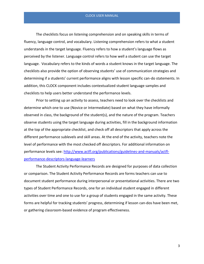#### CLOCK USER MANUAL

The checklists focus on listening comprehension and on speaking skills in terms of fluency, language control, and vocabulary. Listening comprehension refers to what a student understands in the target language. Fluency refers to how a student's language flows as perceived by the listener. Language control refers to how well a student can use the target language. Vocabulary refers to the kinds of words a student knows in the target language. The checklists also provide the option of observing students' use of communication strategies and determining if a students' current performance aligns with lesson specific can-do statements. In addition, this CLOCK component includes contextualized student language samples and checklists to help users better understand the performance levels.

Prior to setting up an activity to assess, teachers need to look over the checklists and determine which one to use (Novice or Intermediate) based on what they have informally observed in class, the background of the student(s), and the nature of the program. Teachers observe students using the target language during activities, fill in the background information at the top of the appropriate checklist, and check off all descriptors that apply across the different performance sublevels and skill areas. At the end of the activity, teachers note the level of performance with the most checked off descriptors. For additional information on performance levels see: [http://www.actfl.org/publications/guidelines-and-manuals/actfl](http://www.actfl.org/publications/guidelines-and-manuals/actfl-performance-descriptors-language-learners)[performance-descriptors-language-learners](http://www.actfl.org/publications/guidelines-and-manuals/actfl-performance-descriptors-language-learners)

The Student Activity Performance Records are designed for purposes of data collection or comparison. The Student Activity Performance Records are forms teachers can use to document student performance during interpersonal or presentational activities. There are two types of Student Performance Records, one for an individual student engaged in different activities over time and one to use for a group of students engaged in the same activity. These forms are helpful for tracking students' progress, determining if lesson can-dos have been met, or gathering classroom-based evidence of program effectiveness.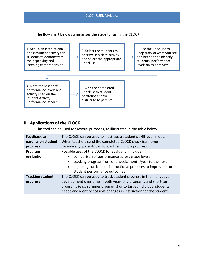#### CLOCK USER MANUAL

The flow chart below summarizes the steps for using the CLOCK:



## **III. Applications of the CLOCK**

This tool can be used for several purposes, as illustrated in the table below.

| <b>Feedback to</b>      | The CLOCK can be used to illustrate a student's skill level in detail.        |
|-------------------------|-------------------------------------------------------------------------------|
| parents on student      | When teachers send the completed CLOCK checklists home                        |
| progress                | periodically, parents can follow their child's progress.                      |
| Program                 | Possible uses of the CLOCK for evaluation include:                            |
| evaluation              | comparison of performance across grade levels                                 |
|                         | tracking progress from one week/month/year to the next<br>$\bullet$           |
|                         | adjusting curricula or instructional practices to improve future<br>$\bullet$ |
|                         | student performance outcomes                                                  |
| <b>Tracking student</b> | The CLOCK can be used to track student progress in their language             |
| progress                | development over time in both year-long programs and short-term               |
|                         | programs (e.g., summer programs) or to target individual students'            |
|                         | needs and identify possible changes in instruction for the student.           |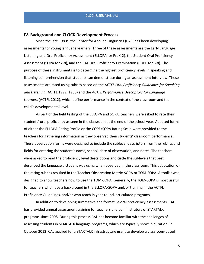#### **IV. Background and CLOCK Development Process**

Since the late 1980s, the Center for Applied Linguistics (CAL) has been developing assessments for young language learners. Three of these assessments are the Early Language Listening and Oral Proficiency Assessment (ELLOPA for PreK-2), the Student Oral Proficiency Assessment (SOPA for 2-8), and the CAL Oral Proficiency Examination (COPE for 6-8). The purpose of these instruments is to determine the highest proficiency levels in speaking and listening comprehension that students can demonstrate during an assessment interview. These assessments are rated using rubrics based on the *ACTFL Oral Proficiency Guidelines for Speaking and Listening* (ACTFL 1999, 1986) and the *ACTFL Performance Descriptors for Language Learners* (ACTFL 2012), which define performance in the context of the classroom and the child's developmental level.

As part of the field testing of the ELLOPA and SOPA, teachers were asked to rate their students' oral proficiency as seen in the classroom at the end of the school year. Adapted forms of either the ELLOPA Rating Profile or the COPE/SOPA Rating Scale were provided to the teachers for gathering information as they observed their students' classroom performance. These observation forms were designed to include the sublevel descriptors from the rubrics and fields for entering the student's name, school, date of observation, and notes. The teachers were asked to read the proficiency level descriptions and circle the sublevels that best described the language a student was using when observed in the classroom. This adaptation of the rating rubrics resulted in the Teacher Observation Matrix-SOPA or TOM-SOPA. A toolkit was designed to show teachers how to use the TOM-SOPA. Generally, the TOM-SOPA is most useful for teachers who have a background in the ELLOPA/SOPA and/or training in the ACTFL Proficiency Guidelines, and/or who teach in year-round, articulated programs.

In addition to developing summative and formative oral proficiency assessments, CAL has provided annual assessment training for teachers and administrators of STARTALK programs since 2008. During this process CAL has become familiar with the challenges of assessing students in STARTALK language programs, which are typically short in duration. In October 2013, CAL applied for a STARTALK infrastructure grant to develop a classroom-based